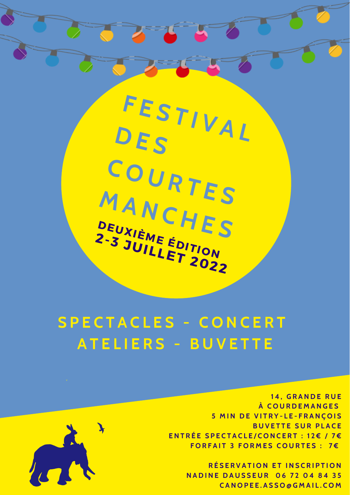# **S P E C T A C L E S - C O N C E R T A T E L I E R S - B U V E T T E**

**1 4 , G R A N D E R U E À C O U R D E M A N G E S 5 M I N D E V I T R Y - L E - F R A N Ç O IS BUVETTE SUR PLACE** ENTRÉE SPECTACLE/CONCERT : 12€ / 7€ **F O R F A I T 3 F O R M E S C O U R T E S : 7 €**



**R É S E R V A T I O N E T I N S C R I P T I O N N A D I N E D A U S S E U R 0 6 7 2 0 4 8 4 3 5 C A N O P E E . A S S O @ G M A I L . C O M**